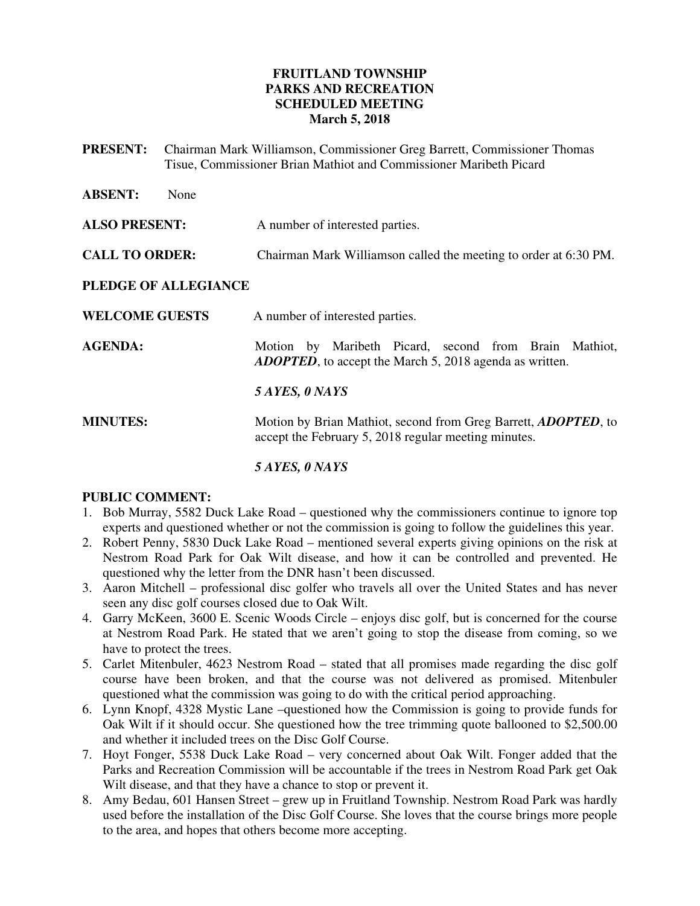## **FRUITLAND TOWNSHIP PARKS AND RECREATION SCHEDULED MEETING March 5, 2018**

**PRESENT:** Chairman Mark Williamson, Commissioner Greg Barrett, Commissioner Thomas Tisue, Commissioner Brian Mathiot and Commissioner Maribeth Picard

| <b>ABSENT:</b>              | None |                                                                                                                                |
|-----------------------------|------|--------------------------------------------------------------------------------------------------------------------------------|
| <b>ALSO PRESENT:</b>        |      | A number of interested parties.                                                                                                |
| <b>CALL TO ORDER:</b>       |      | Chairman Mark Williamson called the meeting to order at 6:30 PM.                                                               |
| <b>PLEDGE OF ALLEGIANCE</b> |      |                                                                                                                                |
| <b>WELCOME GUESTS</b>       |      | A number of interested parties.                                                                                                |
| <b>AGENDA:</b>              |      | Maribeth Picard, second from Brain Mathiot,<br>Motion by<br><b>ADOPTED</b> , to accept the March 5, 2018 agenda as written.    |
|                             |      | 5 AYES, 0 NAYS                                                                                                                 |
| <b>MINUTES:</b>             |      | Motion by Brian Mathiot, second from Greg Barrett, <i>ADOPTED</i> , to<br>accept the February 5, 2018 regular meeting minutes. |

# *5 AYES, 0 NAYS*

### **PUBLIC COMMENT:**

- 1. Bob Murray, 5582 Duck Lake Road questioned why the commissioners continue to ignore top experts and questioned whether or not the commission is going to follow the guidelines this year.
- 2. Robert Penny, 5830 Duck Lake Road mentioned several experts giving opinions on the risk at Nestrom Road Park for Oak Wilt disease, and how it can be controlled and prevented. He questioned why the letter from the DNR hasn't been discussed.
- 3. Aaron Mitchell professional disc golfer who travels all over the United States and has never seen any disc golf courses closed due to Oak Wilt.
- 4. Garry McKeen, 3600 E. Scenic Woods Circle enjoys disc golf, but is concerned for the course at Nestrom Road Park. He stated that we aren't going to stop the disease from coming, so we have to protect the trees.
- 5. Carlet Mitenbuler, 4623 Nestrom Road stated that all promises made regarding the disc golf course have been broken, and that the course was not delivered as promised. Mitenbuler questioned what the commission was going to do with the critical period approaching.
- 6. Lynn Knopf, 4328 Mystic Lane –questioned how the Commission is going to provide funds for Oak Wilt if it should occur. She questioned how the tree trimming quote ballooned to \$2,500.00 and whether it included trees on the Disc Golf Course.
- 7. Hoyt Fonger, 5538 Duck Lake Road very concerned about Oak Wilt. Fonger added that the Parks and Recreation Commission will be accountable if the trees in Nestrom Road Park get Oak Wilt disease, and that they have a chance to stop or prevent it.
- 8. Amy Bedau, 601 Hansen Street grew up in Fruitland Township. Nestrom Road Park was hardly used before the installation of the Disc Golf Course. She loves that the course brings more people to the area, and hopes that others become more accepting.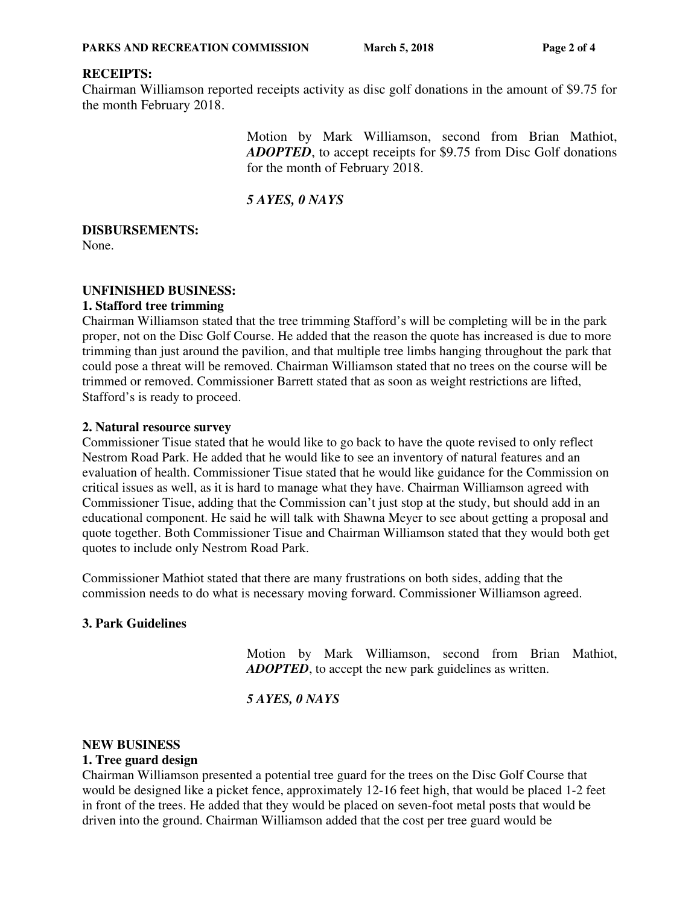## **RECEIPTS:**

Chairman Williamson reported receipts activity as disc golf donations in the amount of \$9.75 for the month February 2018.

> Motion by Mark Williamson, second from Brian Mathiot, *ADOPTED*, to accept receipts for \$9.75 from Disc Golf donations for the month of February 2018.

# *5 AYES, 0 NAYS*

## **DISBURSEMENTS:**

None.

#### **UNFINISHED BUSINESS:**

#### **1. Stafford tree trimming**

Chairman Williamson stated that the tree trimming Stafford's will be completing will be in the park proper, not on the Disc Golf Course. He added that the reason the quote has increased is due to more trimming than just around the pavilion, and that multiple tree limbs hanging throughout the park that could pose a threat will be removed. Chairman Williamson stated that no trees on the course will be trimmed or removed. Commissioner Barrett stated that as soon as weight restrictions are lifted, Stafford's is ready to proceed.

#### **2. Natural resource survey**

Commissioner Tisue stated that he would like to go back to have the quote revised to only reflect Nestrom Road Park. He added that he would like to see an inventory of natural features and an evaluation of health. Commissioner Tisue stated that he would like guidance for the Commission on critical issues as well, as it is hard to manage what they have. Chairman Williamson agreed with Commissioner Tisue, adding that the Commission can't just stop at the study, but should add in an educational component. He said he will talk with Shawna Meyer to see about getting a proposal and quote together. Both Commissioner Tisue and Chairman Williamson stated that they would both get quotes to include only Nestrom Road Park.

Commissioner Mathiot stated that there are many frustrations on both sides, adding that the commission needs to do what is necessary moving forward. Commissioner Williamson agreed.

## **3. Park Guidelines**

Motion by Mark Williamson, second from Brian Mathiot, *ADOPTED*, to accept the new park guidelines as written.

## *5 AYES, 0 NAYS*

#### **NEW BUSINESS**

## **1. Tree guard design**

Chairman Williamson presented a potential tree guard for the trees on the Disc Golf Course that would be designed like a picket fence, approximately 12-16 feet high, that would be placed 1-2 feet in front of the trees. He added that they would be placed on seven-foot metal posts that would be driven into the ground. Chairman Williamson added that the cost per tree guard would be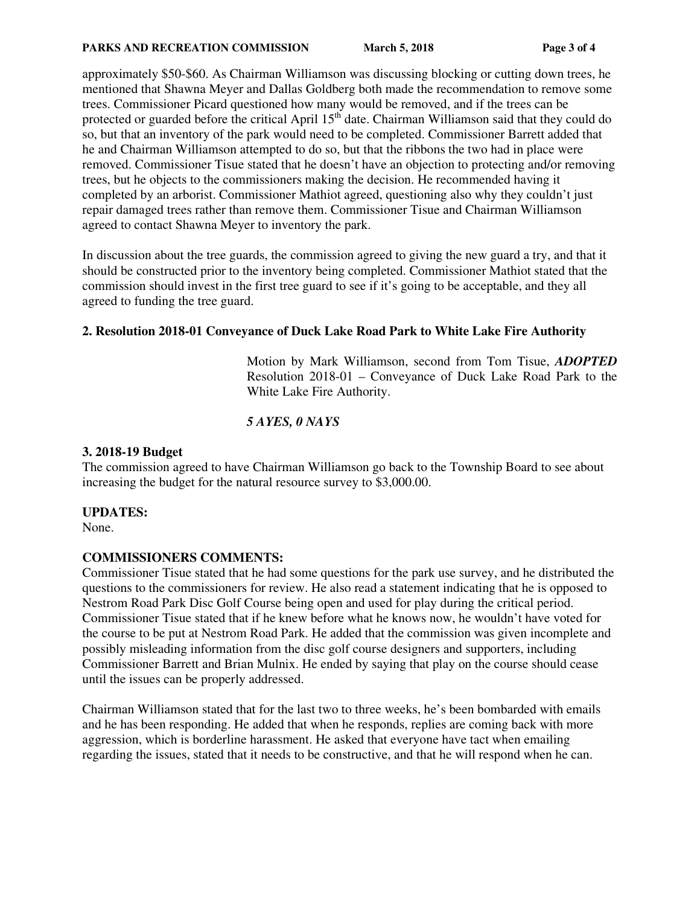approximately \$50-\$60. As Chairman Williamson was discussing blocking or cutting down trees, he mentioned that Shawna Meyer and Dallas Goldberg both made the recommendation to remove some trees. Commissioner Picard questioned how many would be removed, and if the trees can be protected or guarded before the critical April 15<sup>th</sup> date. Chairman Williamson said that they could do so, but that an inventory of the park would need to be completed. Commissioner Barrett added that he and Chairman Williamson attempted to do so, but that the ribbons the two had in place were removed. Commissioner Tisue stated that he doesn't have an objection to protecting and/or removing trees, but he objects to the commissioners making the decision. He recommended having it completed by an arborist. Commissioner Mathiot agreed, questioning also why they couldn't just repair damaged trees rather than remove them. Commissioner Tisue and Chairman Williamson agreed to contact Shawna Meyer to inventory the park.

In discussion about the tree guards, the commission agreed to giving the new guard a try, and that it should be constructed prior to the inventory being completed. Commissioner Mathiot stated that the commission should invest in the first tree guard to see if it's going to be acceptable, and they all agreed to funding the tree guard.

#### **2. Resolution 2018-01 Conveyance of Duck Lake Road Park to White Lake Fire Authority**

Motion by Mark Williamson, second from Tom Tisue, *ADOPTED* Resolution 2018-01 – Conveyance of Duck Lake Road Park to the White Lake Fire Authority.

#### *5 AYES, 0 NAYS*

#### **3. 2018-19 Budget**

The commission agreed to have Chairman Williamson go back to the Township Board to see about increasing the budget for the natural resource survey to \$3,000.00.

## **UPDATES:**

None.

## **COMMISSIONERS COMMENTS:**

Commissioner Tisue stated that he had some questions for the park use survey, and he distributed the questions to the commissioners for review. He also read a statement indicating that he is opposed to Nestrom Road Park Disc Golf Course being open and used for play during the critical period. Commissioner Tisue stated that if he knew before what he knows now, he wouldn't have voted for the course to be put at Nestrom Road Park. He added that the commission was given incomplete and possibly misleading information from the disc golf course designers and supporters, including Commissioner Barrett and Brian Mulnix. He ended by saying that play on the course should cease until the issues can be properly addressed.

Chairman Williamson stated that for the last two to three weeks, he's been bombarded with emails and he has been responding. He added that when he responds, replies are coming back with more aggression, which is borderline harassment. He asked that everyone have tact when emailing regarding the issues, stated that it needs to be constructive, and that he will respond when he can.